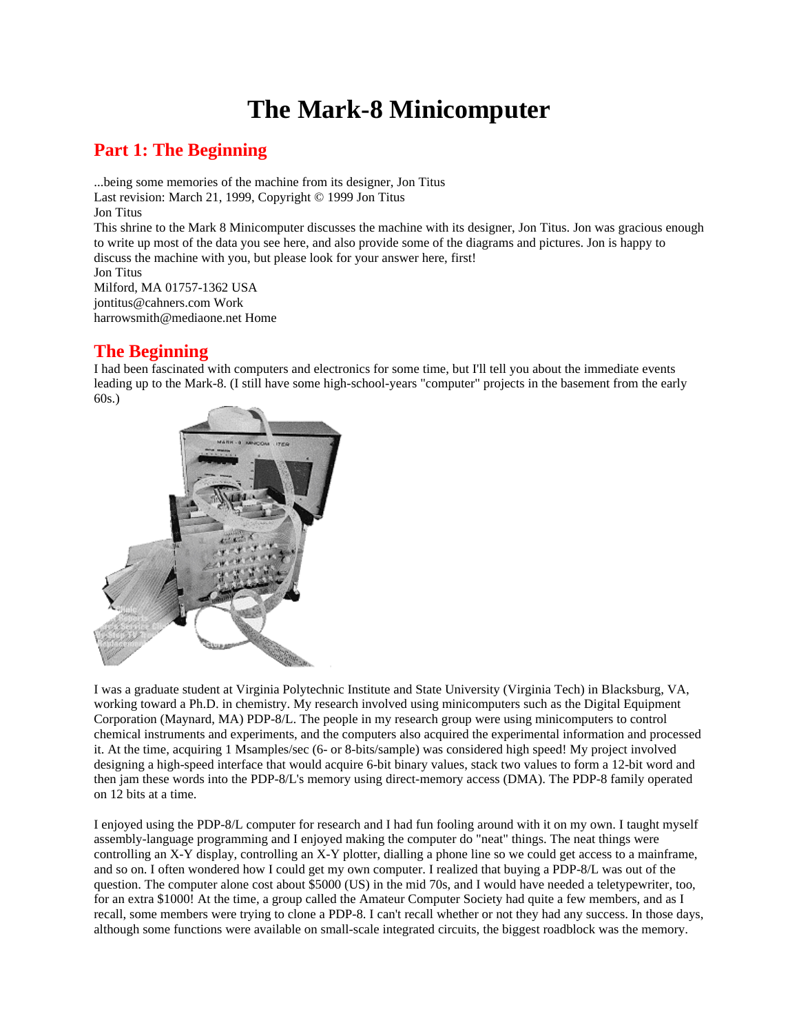## **The Mark-8 Minicomputer**

### **Part 1: The Beginning**

...being some memories of the machine from its designer, Jon Titus Last revision: March 21, 1999, Copyright © 1999 Jon Titus Jon Titus This shrine to the Mark 8 Minicomputer discusses the machine with its designer, Jon Titus. Jon was gracious enough to write up most of the data you see here, and also provide some of the diagrams and pictures. Jon is happy to discuss the machine with you, but please look for your answer here, first! Jon Titus Milford, MA 01757-1362 USA jontitus@cahners.com Work

harrowsmith@mediaone.net Home

### **The Beginning**

I had been fascinated with computers and electronics for some time, but I'll tell you about the immediate events leading up to the Mark-8. (I still have some high-school-years "computer" projects in the basement from the early 60s.)



I was a graduate student at Virginia Polytechnic Institute and State University (Virginia Tech) in Blacksburg, VA, working toward a Ph.D. in chemistry. My research involved using minicomputers such as the Digital Equipment Corporation (Maynard, MA) PDP-8/L. The people in my research group were using minicomputers to control chemical instruments and experiments, and the computers also acquired the experimental information and processed it. At the time, acquiring 1 Msamples/sec (6- or 8-bits/sample) was considered high speed! My project involved designing a high-speed interface that would acquire 6-bit binary values, stack two values to form a 12-bit word and then jam these words into the PDP-8/L's memory using direct-memory access (DMA). The PDP-8 family operated on 12 bits at a time.

I enjoyed using the PDP-8/L computer for research and I had fun fooling around with it on my own. I taught myself assembly-language programming and I enjoyed making the computer do "neat" things. The neat things were controlling an X-Y display, controlling an X-Y plotter, dialling a phone line so we could get access to a mainframe, and so on. I often wondered how I could get my own computer. I realized that buying a PDP-8/L was out of the question. The computer alone cost about \$5000 (US) in the mid 70s, and I would have needed a teletypewriter, too, for an extra \$1000! At the time, a group called the Amateur Computer Society had quite a few members, and as I recall, some members were trying to clone a PDP-8. I can't recall whether or not they had any success. In those days, although some functions were available on small-scale integrated circuits, the biggest roadblock was the memory.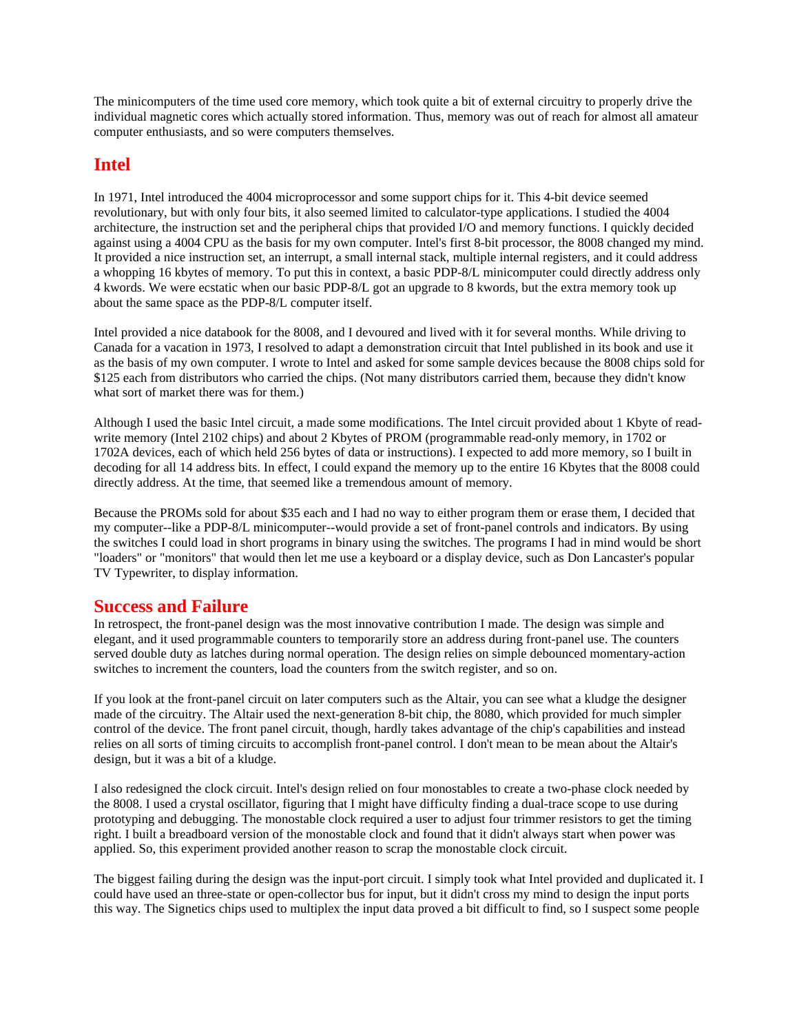The minicomputers of the time used core memory, which took quite a bit of external circuitry to properly drive the individual magnetic cores which actually stored information. Thus, memory was out of reach for almost all amateur computer enthusiasts, and so were computers themselves.

### **Intel**

In 1971, Intel introduced the 4004 microprocessor and some support chips for it. This 4-bit device seemed revolutionary, but with only four bits, it also seemed limited to calculator-type applications. I studied the 4004 architecture, the instruction set and the peripheral chips that provided I/O and memory functions. I quickly decided against using a 4004 CPU as the basis for my own computer. Intel's first 8-bit processor, the 8008 changed my mind. It provided a nice instruction set, an interrupt, a small internal stack, multiple internal registers, and it could address a whopping 16 kbytes of memory. To put this in context, a basic PDP-8/L minicomputer could directly address only 4 kwords. We were ecstatic when our basic PDP-8/L got an upgrade to 8 kwords, but the extra memory took up about the same space as the PDP-8/L computer itself.

Intel provided a nice databook for the 8008, and I devoured and lived with it for several months. While driving to Canada for a vacation in 1973, I resolved to adapt a demonstration circuit that Intel published in its book and use it as the basis of my own computer. I wrote to Intel and asked for some sample devices because the 8008 chips sold for \$125 each from distributors who carried the chips. (Not many distributors carried them, because they didn't know what sort of market there was for them.)

Although I used the basic Intel circuit, a made some modifications. The Intel circuit provided about 1 Kbyte of readwrite memory (Intel 2102 chips) and about 2 Kbytes of PROM (programmable read-only memory, in 1702 or 1702A devices, each of which held 256 bytes of data or instructions). I expected to add more memory, so I built in decoding for all 14 address bits. In effect, I could expand the memory up to the entire 16 Kbytes that the 8008 could directly address. At the time, that seemed like a tremendous amount of memory.

Because the PROMs sold for about \$35 each and I had no way to either program them or erase them, I decided that my computer--like a PDP-8/L minicomputer--would provide a set of front-panel controls and indicators. By using the switches I could load in short programs in binary using the switches. The programs I had in mind would be short "loaders" or "monitors" that would then let me use a keyboard or a display device, such as Don Lancaster's popular TV Typewriter, to display information.

#### **Success and Failure**

In retrospect, the front-panel design was the most innovative contribution I made. The design was simple and elegant, and it used programmable counters to temporarily store an address during front-panel use. The counters served double duty as latches during normal operation. The design relies on simple debounced momentary-action switches to increment the counters, load the counters from the switch register, and so on.

If you look at the front-panel circuit on later computers such as the Altair, you can see what a kludge the designer made of the circuitry. The Altair used the next-generation 8-bit chip, the 8080, which provided for much simpler control of the device. The front panel circuit, though, hardly takes advantage of the chip's capabilities and instead relies on all sorts of timing circuits to accomplish front-panel control. I don't mean to be mean about the Altair's design, but it was a bit of a kludge.

I also redesigned the clock circuit. Intel's design relied on four monostables to create a two-phase clock needed by the 8008. I used a crystal oscillator, figuring that I might have difficulty finding a dual-trace scope to use during prototyping and debugging. The monostable clock required a user to adjust four trimmer resistors to get the timing right. I built a breadboard version of the monostable clock and found that it didn't always start when power was applied. So, this experiment provided another reason to scrap the monostable clock circuit.

The biggest failing during the design was the input-port circuit. I simply took what Intel provided and duplicated it. I could have used an three-state or open-collector bus for input, but it didn't cross my mind to design the input ports this way. The Signetics chips used to multiplex the input data proved a bit difficult to find, so I suspect some people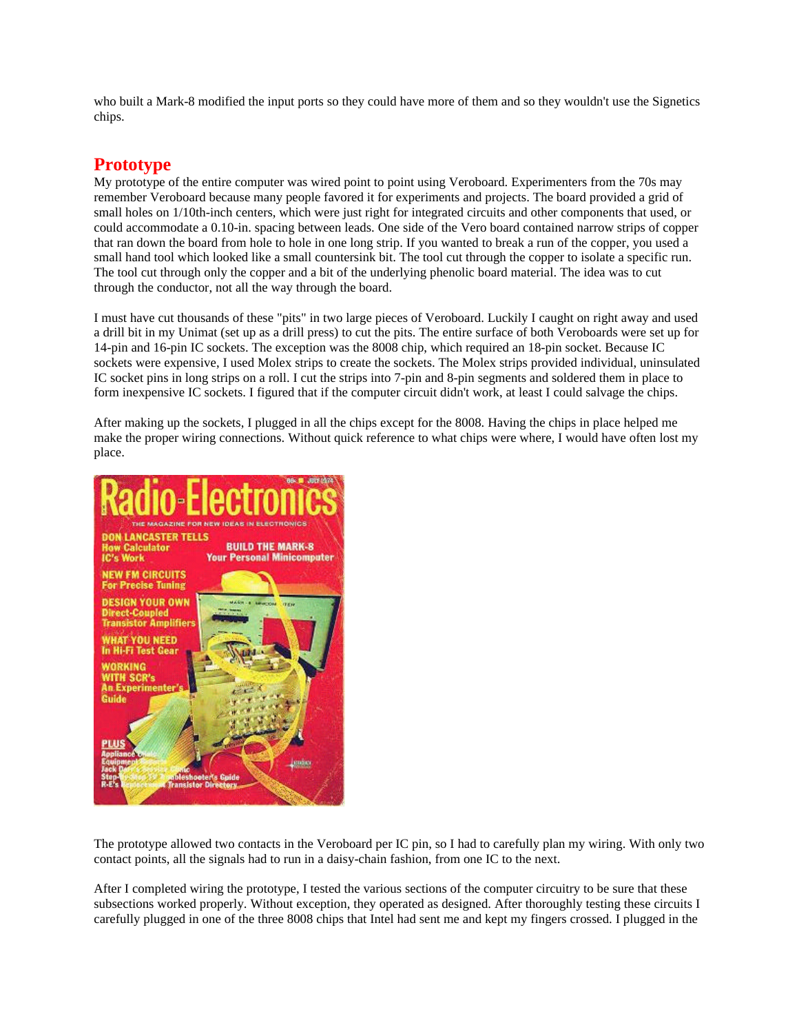who built a Mark-8 modified the input ports so they could have more of them and so they wouldn't use the Signetics chips.

### **Prototype**

My prototype of the entire computer was wired point to point using Veroboard. Experimenters from the 70s may remember Veroboard because many people favored it for experiments and projects. The board provided a grid of small holes on 1/10th-inch centers, which were just right for integrated circuits and other components that used, or could accommodate a 0.10-in. spacing between leads. One side of the Vero board contained narrow strips of copper that ran down the board from hole to hole in one long strip. If you wanted to break a run of the copper, you used a small hand tool which looked like a small countersink bit. The tool cut through the copper to isolate a specific run. The tool cut through only the copper and a bit of the underlying phenolic board material. The idea was to cut through the conductor, not all the way through the board.

I must have cut thousands of these "pits" in two large pieces of Veroboard. Luckily I caught on right away and used a drill bit in my Unimat (set up as a drill press) to cut the pits. The entire surface of both Veroboards were set up for 14-pin and 16-pin IC sockets. The exception was the 8008 chip, which required an 18-pin socket. Because IC sockets were expensive, I used Molex strips to create the sockets. The Molex strips provided individual, uninsulated IC socket pins in long strips on a roll. I cut the strips into 7-pin and 8-pin segments and soldered them in place to form inexpensive IC sockets. I figured that if the computer circuit didn't work, at least I could salvage the chips.

After making up the sockets, I plugged in all the chips except for the 8008. Having the chips in place helped me make the proper wiring connections. Without quick reference to what chips were where, I would have often lost my place.



The prototype allowed two contacts in the Veroboard per IC pin, so I had to carefully plan my wiring. With only two contact points, all the signals had to run in a daisy-chain fashion, from one IC to the next.

After I completed wiring the prototype, I tested the various sections of the computer circuitry to be sure that these subsections worked properly. Without exception, they operated as designed. After thoroughly testing these circuits I carefully plugged in one of the three 8008 chips that Intel had sent me and kept my fingers crossed. I plugged in the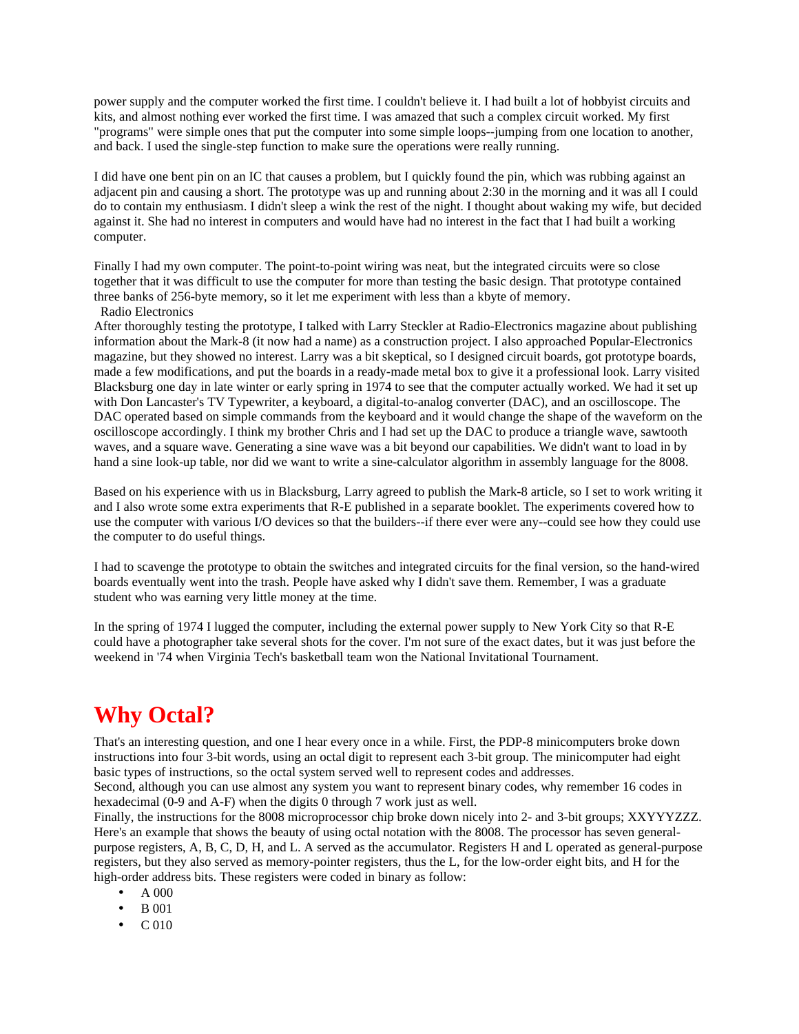power supply and the computer worked the first time. I couldn't believe it. I had built a lot of hobbyist circuits and kits, and almost nothing ever worked the first time. I was amazed that such a complex circuit worked. My first "programs" were simple ones that put the computer into some simple loops--jumping from one location to another, and back. I used the single-step function to make sure the operations were really running.

I did have one bent pin on an IC that causes a problem, but I quickly found the pin, which was rubbing against an adjacent pin and causing a short. The prototype was up and running about 2:30 in the morning and it was all I could do to contain my enthusiasm. I didn't sleep a wink the rest of the night. I thought about waking my wife, but decided against it. She had no interest in computers and would have had no interest in the fact that I had built a working computer.

Finally I had my own computer. The point-to-point wiring was neat, but the integrated circuits were so close together that it was difficult to use the computer for more than testing the basic design. That prototype contained three banks of 256-byte memory, so it let me experiment with less than a kbyte of memory.

Radio Electronics

After thoroughly testing the prototype, I talked with Larry Steckler at Radio-Electronics magazine about publishing information about the Mark-8 (it now had a name) as a construction project. I also approached Popular-Electronics magazine, but they showed no interest. Larry was a bit skeptical, so I designed circuit boards, got prototype boards, made a few modifications, and put the boards in a ready-made metal box to give it a professional look. Larry visited Blacksburg one day in late winter or early spring in 1974 to see that the computer actually worked. We had it set up with Don Lancaster's TV Typewriter, a keyboard, a digital-to-analog converter (DAC), and an oscilloscope. The DAC operated based on simple commands from the keyboard and it would change the shape of the waveform on the oscilloscope accordingly. I think my brother Chris and I had set up the DAC to produce a triangle wave, sawtooth waves, and a square wave. Generating a sine wave was a bit beyond our capabilities. We didn't want to load in by hand a sine look-up table, nor did we want to write a sine-calculator algorithm in assembly language for the 8008.

Based on his experience with us in Blacksburg, Larry agreed to publish the Mark-8 article, so I set to work writing it and I also wrote some extra experiments that R-E published in a separate booklet. The experiments covered how to use the computer with various I/O devices so that the builders--if there ever were any--could see how they could use the computer to do useful things.

I had to scavenge the prototype to obtain the switches and integrated circuits for the final version, so the hand-wired boards eventually went into the trash. People have asked why I didn't save them. Remember, I was a graduate student who was earning very little money at the time.

In the spring of 1974 I lugged the computer, including the external power supply to New York City so that R-E could have a photographer take several shots for the cover. I'm not sure of the exact dates, but it was just before the weekend in '74 when Virginia Tech's basketball team won the National Invitational Tournament.

### **Why Octal?**

That's an interesting question, and one I hear every once in a while. First, the PDP-8 minicomputers broke down instructions into four 3-bit words, using an octal digit to represent each 3-bit group. The minicomputer had eight basic types of instructions, so the octal system served well to represent codes and addresses.

Second, although you can use almost any system you want to represent binary codes, why remember 16 codes in hexadecimal (0-9 and A-F) when the digits 0 through 7 work just as well.

Finally, the instructions for the 8008 microprocessor chip broke down nicely into 2- and 3-bit groups; XXYYYZZZ. Here's an example that shows the beauty of using octal notation with the 8008. The processor has seven generalpurpose registers, A, B, C, D, H, and L. A served as the accumulator. Registers H and L operated as general-purpose registers, but they also served as memory-pointer registers, thus the L, for the low-order eight bits, and H for the high-order address bits. These registers were coded in binary as follow:

- A 000
- B 001
- C 010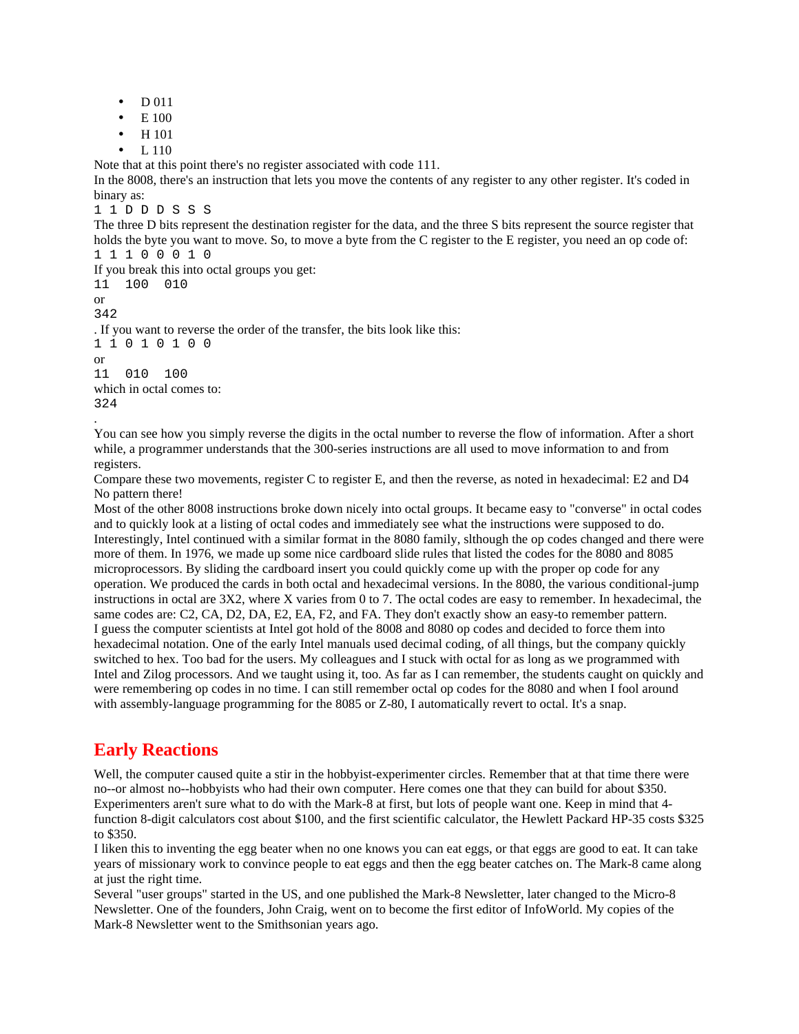- D 011
- E 100
- H 101
- L 110

Note that at this point there's no register associated with code 111.

In the 8008, there's an instruction that lets you move the contents of any register to any other register. It's coded in binary as:

1 1 D D D S S S

The three D bits represent the destination register for the data, and the three S bits represent the source register that holds the byte you want to move. So, to move a byte from the C register to the E register, you need an op code of: 1 1 1 0 0 0 1 0

If you break this into octal groups you get: 11 100 010

or 342

.

. If you want to reverse the order of the transfer, the bits look like this: 1 1 0 1 0 1 0 0 or 11 010 100 which in octal comes to: 324

You can see how you simply reverse the digits in the octal number to reverse the flow of information. After a short while, a programmer understands that the 300-series instructions are all used to move information to and from registers.

Compare these two movements, register C to register E, and then the reverse, as noted in hexadecimal: E2 and D4 No pattern there!

Most of the other 8008 instructions broke down nicely into octal groups. It became easy to "converse" in octal codes and to quickly look at a listing of octal codes and immediately see what the instructions were supposed to do. Interestingly, Intel continued with a similar format in the 8080 family, slthough the op codes changed and there were more of them. In 1976, we made up some nice cardboard slide rules that listed the codes for the 8080 and 8085 microprocessors. By sliding the cardboard insert you could quickly come up with the proper op code for any operation. We produced the cards in both octal and hexadecimal versions. In the 8080, the various conditional-jump instructions in octal are 3X2, where X varies from 0 to 7. The octal codes are easy to remember. In hexadecimal, the same codes are: C2, CA, D2, DA, E2, EA, F2, and FA. They don't exactly show an easy-to remember pattern. I guess the computer scientists at Intel got hold of the 8008 and 8080 op codes and decided to force them into hexadecimal notation. One of the early Intel manuals used decimal coding, of all things, but the company quickly switched to hex. Too bad for the users. My colleagues and I stuck with octal for as long as we programmed with Intel and Zilog processors. And we taught using it, too. As far as I can remember, the students caught on quickly and were remembering op codes in no time. I can still remember octal op codes for the 8080 and when I fool around with assembly-language programming for the 8085 or Z-80, I automatically revert to octal. It's a snap.

### **Early Reactions**

Well, the computer caused quite a stir in the hobbyist-experimenter circles. Remember that at that time there were no--or almost no--hobbyists who had their own computer. Here comes one that they can build for about \$350. Experimenters aren't sure what to do with the Mark-8 at first, but lots of people want one. Keep in mind that 4 function 8-digit calculators cost about \$100, and the first scientific calculator, the Hewlett Packard HP-35 costs \$325 to \$350.

I liken this to inventing the egg beater when no one knows you can eat eggs, or that eggs are good to eat. It can take years of missionary work to convince people to eat eggs and then the egg beater catches on. The Mark-8 came along at just the right time.

Several "user groups" started in the US, and one published the Mark-8 Newsletter, later changed to the Micro-8 Newsletter. One of the founders, John Craig, went on to become the first editor of InfoWorld. My copies of the Mark-8 Newsletter went to the Smithsonian years ago.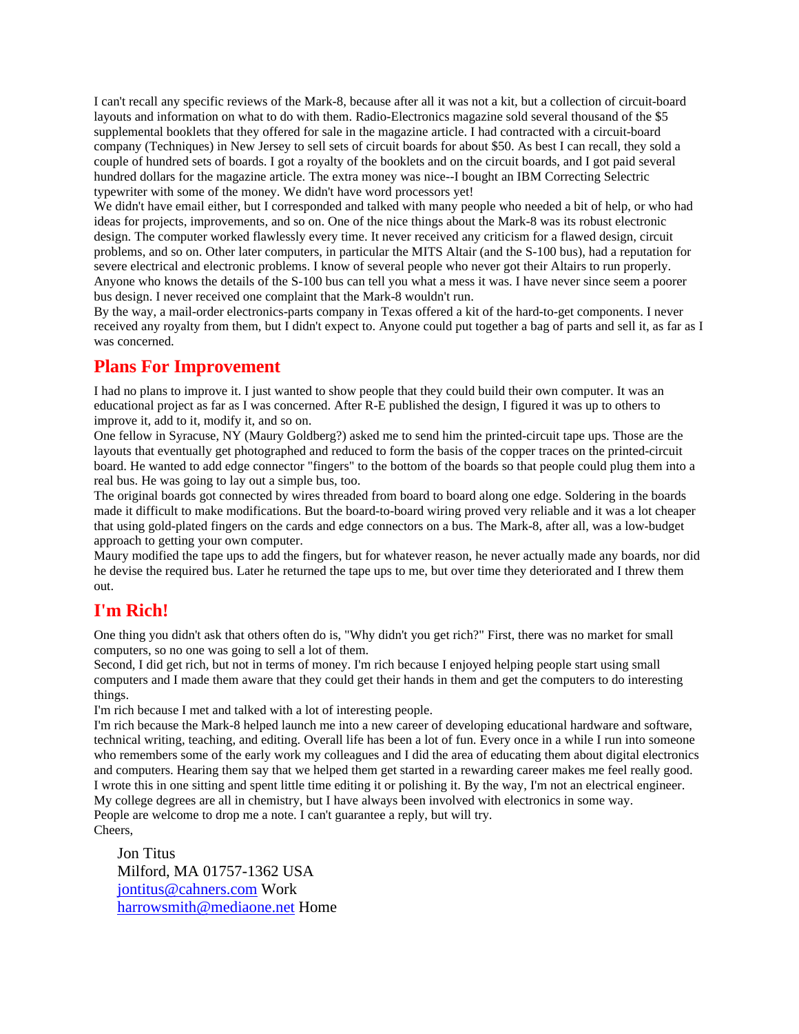I can't recall any specific reviews of the Mark-8, because after all it was not a kit, but a collection of circuit-board layouts and information on what to do with them. Radio-Electronics magazine sold several thousand of the \$5 supplemental booklets that they offered for sale in the magazine article. I had contracted with a circuit-board company (Techniques) in New Jersey to sell sets of circuit boards for about \$50. As best I can recall, they sold a couple of hundred sets of boards. I got a royalty of the booklets and on the circuit boards, and I got paid several hundred dollars for the magazine article. The extra money was nice--I bought an IBM Correcting Selectric typewriter with some of the money. We didn't have word processors yet!

We didn't have email either, but I corresponded and talked with many people who needed a bit of help, or who had ideas for projects, improvements, and so on. One of the nice things about the Mark-8 was its robust electronic design. The computer worked flawlessly every time. It never received any criticism for a flawed design, circuit problems, and so on. Other later computers, in particular the MITS Altair (and the S-100 bus), had a reputation for severe electrical and electronic problems. I know of several people who never got their Altairs to run properly. Anyone who knows the details of the S-100 bus can tell you what a mess it was. I have never since seem a poorer bus design. I never received one complaint that the Mark-8 wouldn't run.

By the way, a mail-order electronics-parts company in Texas offered a kit of the hard-to-get components. I never received any royalty from them, but I didn't expect to. Anyone could put together a bag of parts and sell it, as far as I was concerned.

#### **Plans For Improvement**

I had no plans to improve it. I just wanted to show people that they could build their own computer. It was an educational project as far as I was concerned. After R-E published the design, I figured it was up to others to improve it, add to it, modify it, and so on.

One fellow in Syracuse, NY (Maury Goldberg?) asked me to send him the printed-circuit tape ups. Those are the layouts that eventually get photographed and reduced to form the basis of the copper traces on the printed-circuit board. He wanted to add edge connector "fingers" to the bottom of the boards so that people could plug them into a real bus. He was going to lay out a simple bus, too.

The original boards got connected by wires threaded from board to board along one edge. Soldering in the boards made it difficult to make modifications. But the board-to-board wiring proved very reliable and it was a lot cheaper that using gold-plated fingers on the cards and edge connectors on a bus. The Mark-8, after all, was a low-budget approach to getting your own computer.

Maury modified the tape ups to add the fingers, but for whatever reason, he never actually made any boards, nor did he devise the required bus. Later he returned the tape ups to me, but over time they deteriorated and I threw them out.

### **I'm Rich!**

One thing you didn't ask that others often do is, "Why didn't you get rich?" First, there was no market for small computers, so no one was going to sell a lot of them.

Second, I did get rich, but not in terms of money. I'm rich because I enjoyed helping people start using small computers and I made them aware that they could get their hands in them and get the computers to do interesting things.

I'm rich because I met and talked with a lot of interesting people.

I'm rich because the Mark-8 helped launch me into a new career of developing educational hardware and software, technical writing, teaching, and editing. Overall life has been a lot of fun. Every once in a while I run into someone who remembers some of the early work my colleagues and I did the area of educating them about digital electronics and computers. Hearing them say that we helped them get started in a rewarding career makes me feel really good. I wrote this in one sitting and spent little time editing it or polishing it. By the way, I'm not an electrical engineer. My college degrees are all in chemistry, but I have always been involved with electronics in some way. People are welcome to drop me a note. I can't guarantee a reply, but will try. Cheers,

Jon Titus Milford, MA 01757-1362 USA jontitus@cahners.com Work harrowsmith@mediaone.net Home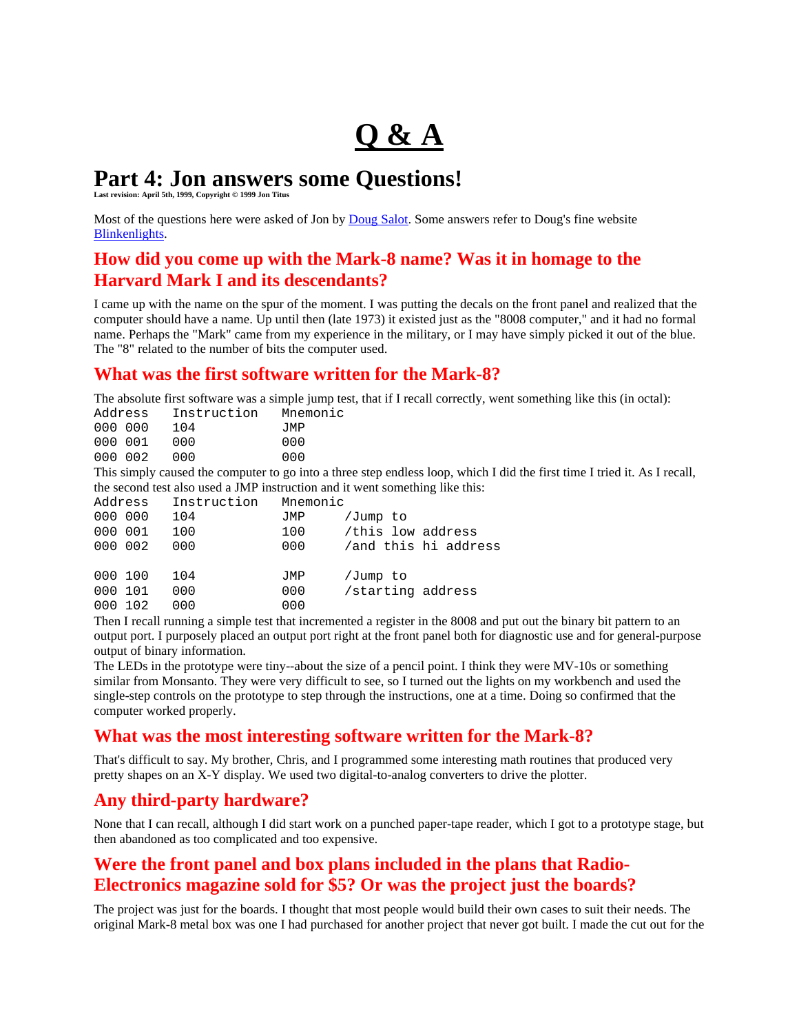# **Q & A**

### **Part 4: Jon answers some Questions!**

**Last revision: April 5th, 1999, Copyright © 1999 Jon Titus**

Most of the questions here were asked of Jon by Doug Salot. Some answers refer to Doug's fine website Blinkenlights.

### **How did you come up with the Mark-8 name? Was it in homage to the Harvard Mark I and its descendants?**

I came up with the name on the spur of the moment. I was putting the decals on the front panel and realized that the computer should have a name. Up until then (late 1973) it existed just as the "8008 computer," and it had no formal name. Perhaps the "Mark" came from my experience in the military, or I may have simply picked it out of the blue. The "8" related to the number of bits the computer used.

### **What was the first software written for the Mark-8?**

The absolute first software was a simple jump test, that if I recall correctly, went something like this (in octal):

| Address | Instruction                                            | Mnemonic |
|---------|--------------------------------------------------------|----------|
| 000 000 | 104                                                    | JMP      |
| 000 001 | 000                                                    | 000      |
| 000 002 | 000                                                    | 000      |
|         | This simply caused the computer to go into a three ste |          |

pendless loop, which I did the first time I tried it. As I recall, the second test also used a JMP instruction and it went something like this:

| Address |     | Instruction | Mnemonic |                   |                      |
|---------|-----|-------------|----------|-------------------|----------------------|
| 000 000 |     | 104         | JMP      | /Jump to          |                      |
| 000 001 |     | 100         | 100      | this low address  |                      |
| 000 002 |     | 000         | 000      |                   | /and this hi address |
| 000 100 |     | 104         | JMP      | /Jump to          |                      |
| 000     | 101 | 000         | 000      | /starting address |                      |
| 000     | 102 | 000         | 000      |                   |                      |

Then I recall running a simple test that incremented a register in the 8008 and put out the binary bit pattern to an output port. I purposely placed an output port right at the front panel both for diagnostic use and for general-purpose output of binary information.

The LEDs in the prototype were tiny--about the size of a pencil point. I think they were MV-10s or something similar from Monsanto. They were very difficult to see, so I turned out the lights on my workbench and used the single-step controls on the prototype to step through the instructions, one at a time. Doing so confirmed that the computer worked properly.

### **What was the most interesting software written for the Mark-8?**

That's difficult to say. My brother, Chris, and I programmed some interesting math routines that produced very pretty shapes on an X-Y display. We used two digital-to-analog converters to drive the plotter.

### **Any third-party hardware?**

None that I can recall, although I did start work on a punched paper-tape reader, which I got to a prototype stage, but then abandoned as too complicated and too expensive.

### **Were the front panel and box plans included in the plans that Radio-Electronics magazine sold for \$5? Or was the project just the boards?**

The project was just for the boards. I thought that most people would build their own cases to suit their needs. The original Mark-8 metal box was one I had purchased for another project that never got built. I made the cut out for the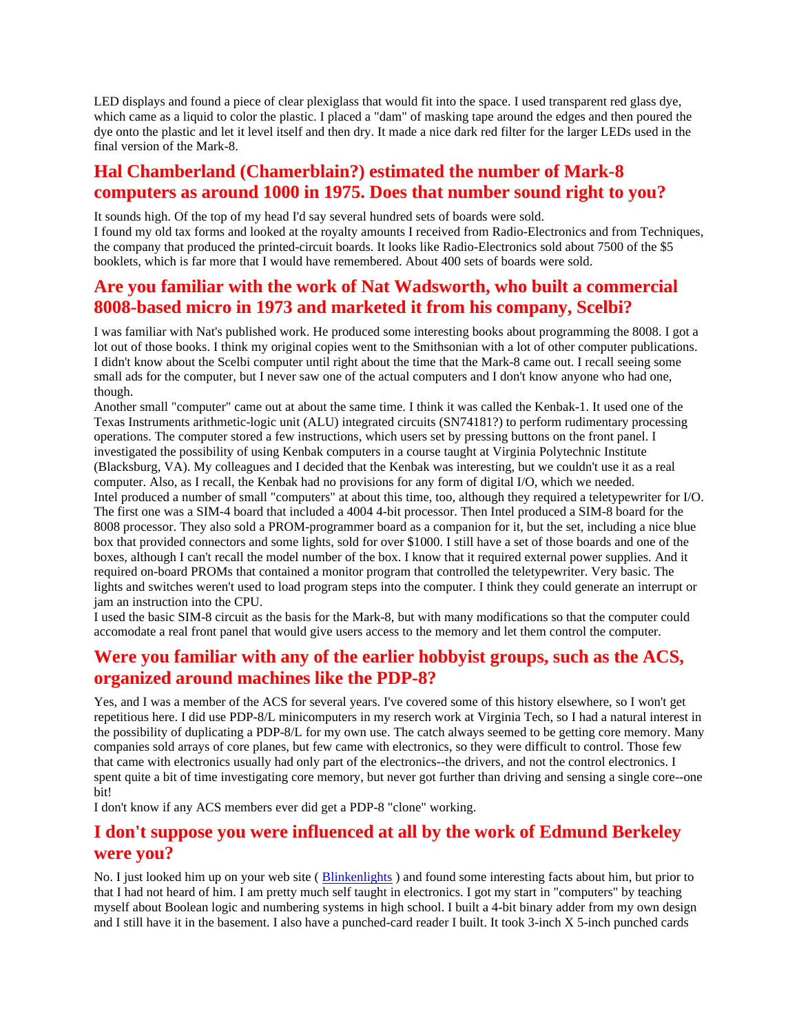LED displays and found a piece of clear plexiglass that would fit into the space. I used transparent red glass dye, which came as a liquid to color the plastic. I placed a "dam" of masking tape around the edges and then poured the dye onto the plastic and let it level itself and then dry. It made a nice dark red filter for the larger LEDs used in the final version of the Mark-8.

### **Hal Chamberland (Chamerblain?) estimated the number of Mark-8 computers as around 1000 in 1975. Does that number sound right to you?**

It sounds high. Of the top of my head I'd say several hundred sets of boards were sold. I found my old tax forms and looked at the royalty amounts I received from Radio-Electronics and from Techniques, the company that produced the printed-circuit boards. It looks like Radio-Electronics sold about 7500 of the \$5 booklets, which is far more that I would have remembered. About 400 sets of boards were sold.

### **Are you familiar with the work of Nat Wadsworth, who built a commercial 8008-based micro in 1973 and marketed it from his company, Scelbi?**

I was familiar with Nat's published work. He produced some interesting books about programming the 8008. I got a lot out of those books. I think my original copies went to the Smithsonian with a lot of other computer publications. I didn't know about the Scelbi computer until right about the time that the Mark-8 came out. I recall seeing some small ads for the computer, but I never saw one of the actual computers and I don't know anyone who had one, though.

Another small "computer" came out at about the same time. I think it was called the Kenbak-1. It used one of the Texas Instruments arithmetic-logic unit (ALU) integrated circuits (SN74181?) to perform rudimentary processing operations. The computer stored a few instructions, which users set by pressing buttons on the front panel. I investigated the possibility of using Kenbak computers in a course taught at Virginia Polytechnic Institute (Blacksburg, VA). My colleagues and I decided that the Kenbak was interesting, but we couldn't use it as a real computer. Also, as I recall, the Kenbak had no provisions for any form of digital I/O, which we needed. Intel produced a number of small "computers" at about this time, too, although they required a teletypewriter for I/O. The first one was a SIM-4 board that included a 4004 4-bit processor. Then Intel produced a SIM-8 board for the 8008 processor. They also sold a PROM-programmer board as a companion for it, but the set, including a nice blue box that provided connectors and some lights, sold for over \$1000. I still have a set of those boards and one of the boxes, although I can't recall the model number of the box. I know that it required external power supplies. And it required on-board PROMs that contained a monitor program that controlled the teletypewriter. Very basic. The lights and switches weren't used to load program steps into the computer. I think they could generate an interrupt or jam an instruction into the CPU.

I used the basic SIM-8 circuit as the basis for the Mark-8, but with many modifications so that the computer could accomodate a real front panel that would give users access to the memory and let them control the computer.

### **Were you familiar with any of the earlier hobbyist groups, such as the ACS, organized around machines like the PDP-8?**

Yes, and I was a member of the ACS for several years. I've covered some of this history elsewhere, so I won't get repetitious here. I did use PDP-8/L minicomputers in my reserch work at Virginia Tech, so I had a natural interest in the possibility of duplicating a PDP-8/L for my own use. The catch always seemed to be getting core memory. Many companies sold arrays of core planes, but few came with electronics, so they were difficult to control. Those few that came with electronics usually had only part of the electronics--the drivers, and not the control electronics. I spent quite a bit of time investigating core memory, but never got further than driving and sensing a single core--one bit!

I don't know if any ACS members ever did get a PDP-8 "clone" working.

### **I don't suppose you were influenced at all by the work of Edmund Berkeley were you?**

No. I just looked him up on your web site (Blinkenlights) and found some interesting facts about him, but prior to that I had not heard of him. I am pretty much self taught in electronics. I got my start in "computers" by teaching myself about Boolean logic and numbering systems in high school. I built a 4-bit binary adder from my own design and I still have it in the basement. I also have a punched-card reader I built. It took 3-inch X 5-inch punched cards